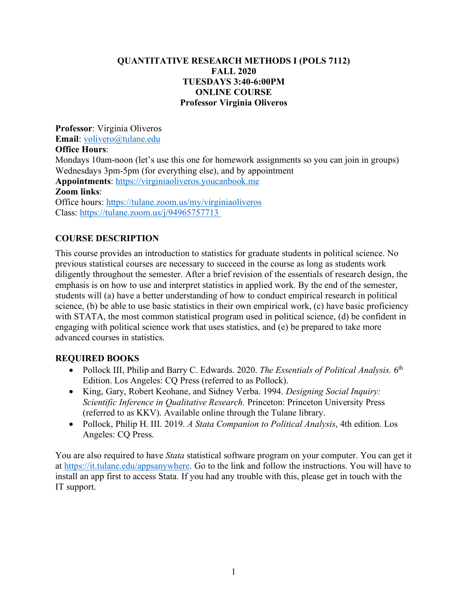# **QUANTITATIVE RESEARCH METHODS I (POLS 7112) FALL 2020 TUESDAYS 3:40-6:00PM ONLINE COURSE Professor Virginia Oliveros**

**Professor**: Virginia Oliveros **Email**: volivero@tulane.edu **Office Hours**: Mondays 10am-noon (let's use this one for homework assignments so you can join in groups) Wednesdays 3pm-5pm (for everything else), and by appointment **Appointments**: https://virginiaoliveros.youcanbook.me **Zoom links**: Office hours: https://tulane.zoom.us/my/virginiaoliveros Class: https://tulane.zoom.us/j/94965757713

# **COURSE DESCRIPTION**

This course provides an introduction to statistics for graduate students in political science. No previous statistical courses are necessary to succeed in the course as long as students work diligently throughout the semester. After a brief revision of the essentials of research design, the emphasis is on how to use and interpret statistics in applied work. By the end of the semester, students will (a) have a better understanding of how to conduct empirical research in political science, (b) be able to use basic statistics in their own empirical work, (c) have basic proficiency with STATA, the most common statistical program used in political science, (d) be confident in engaging with political science work that uses statistics, and (e) be prepared to take more advanced courses in statistics.

# **REQUIRED BOOKS**

- Pollock III, Philip and Barry C. Edwards. 2020. *The Essentials of Political Analysis.* 6<sup>th</sup> Edition. Los Angeles: CQ Press (referred to as Pollock).
- King, Gary, Robert Keohane, and Sidney Verba. 1994. *Designing Social Inquiry: Scientific Inference in Qualitative Research.* Princeton: Princeton University Press (referred to as KKV). Available online through the Tulane library.
- Pollock, Philip H. III. 2019. *A Stata Companion to Political Analysis*, 4th edition. Los Angeles: CQ Press.

You are also required to have *Stata* statistical software program on your computer. You can get it at https://it.tulane.edu/appsanywhere. Go to the link and follow the instructions. You will have to install an app first to access Stata. If you had any trouble with this, please get in touch with the IT support.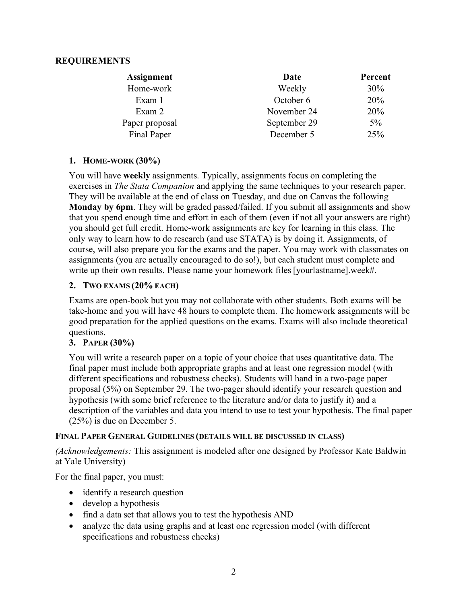# **REQUIREMENTS**

| <b>Assignment</b> | Date         | Percent |
|-------------------|--------------|---------|
| Home-work         | Weekly       | 30%     |
| Exam 1            | October 6    | 20%     |
| Exam 2            | November 24  | 20%     |
| Paper proposal    | September 29 | 5%      |
| Final Paper       | December 5   | 25%     |

#### **1. HOME-WORK (30%)**

You will have **weekly** assignments. Typically, assignments focus on completing the exercises in *The Stata Companion* and applying the same techniques to your research paper. They will be available at the end of class on Tuesday, and due on Canvas the following **Monday by 6pm**. They will be graded passed/failed. If you submit all assignments and show that you spend enough time and effort in each of them (even if not all your answers are right) you should get full credit. Home-work assignments are key for learning in this class. The only way to learn how to do research (and use STATA) is by doing it. Assignments, of course, will also prepare you for the exams and the paper. You may work with classmates on assignments (you are actually encouraged to do so!), but each student must complete and write up their own results. Please name your homework files [yourlastname].week#.

# **2. TWO EXAMS (20% EACH)**

Exams are open-book but you may not collaborate with other students. Both exams will be take-home and you will have 48 hours to complete them. The homework assignments will be good preparation for the applied questions on the exams. Exams will also include theoretical questions.

# **3. PAPER (30%)**

You will write a research paper on a topic of your choice that uses quantitative data. The final paper must include both appropriate graphs and at least one regression model (with different specifications and robustness checks). Students will hand in a two-page paper proposal (5%) on September 29. The two-pager should identify your research question and hypothesis (with some brief reference to the literature and/or data to justify it) and a description of the variables and data you intend to use to test your hypothesis. The final paper (25%) is due on December 5.

#### **FINAL PAPER GENERAL GUIDELINES (DETAILS WILL BE DISCUSSED IN CLASS)**

*(Acknowledgements:* This assignment is modeled after one designed by Professor Kate Baldwin at Yale University)

For the final paper, you must:

- identify a research question
- develop a hypothesis
- find a data set that allows you to test the hypothesis AND
- analyze the data using graphs and at least one regression model (with different specifications and robustness checks)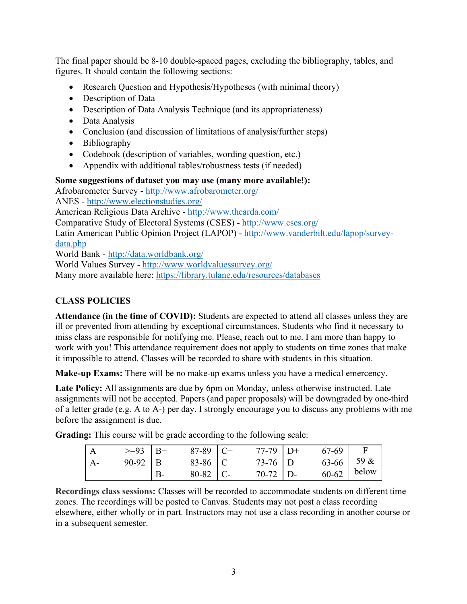The final paper should be 8-10 double-spaced pages, excluding the bibliography, tables, and figures. It should contain the following sections:

- Research Question and Hypothesis/Hypotheses (with minimal theory)
- Description of Data
- Description of Data Analysis Technique (and its appropriateness)
- Data Analysis
- Conclusion (and discussion of limitations of analysis/further steps)
- Bibliography
- Codebook (description of variables, wording question, etc.)
- Appendix with additional tables/robustness tests (if needed)

# **Some suggestions of dataset you may use (many more available!):**

Afrobarometer Survey - http://www.afrobarometer.org/ ANES - http://www.electionstudies.org/ American Religious Data Archive - http://www.thearda.com/

Comparative Study of Electoral Systems (CSES) - http://www.cses.org/ Latin American Public Opinion Project (LAPOP) - http://www.vanderbilt.edu/lapop/surveydata.php

World Bank - http://data.worldbank.org/

World Values Survey - http://www.worldvaluessurvey.org/ Many more available here: https://library.tulane.edu/resources/databases

# **CLASS POLICIES**

**Attendance (in the time of COVID):** Students are expected to attend all classes unless they are ill or prevented from attending by exceptional circumstances. Students who find it necessary to miss class are responsible for notifying me. Please, reach out to me. I am more than happy to work with you! This attendance requirement does not apply to students on time zones that make it impossible to attend. Classes will be recorded to share with students in this situation.

**Make-up Exams:** There will be no make-up exams unless you have a medical emercency.

Late Policy: All assignments are due by 6pm on Monday, unless otherwise instructed. Late assignments will not be accepted. Papers (and paper proposals) will be downgraded by one-third of a letter grade (e.g. A to A-) per day. I strongly encourage you to discuss any problems with me before the assignment is due.

**Grading:** This course will be grade according to the following scale:

|                | $>=93$   B+ | 87-89   C+ | $77-79$ D+ | 67-69        |       |
|----------------|-------------|------------|------------|--------------|-------|
| $\mathsf{A}$ - | $90-92$   B | 83-86 C    | $73-76$ D  | $63-66$ 59 & |       |
|                |             | $80-82$ C- | $70-72$ D- | 60-62        | below |

**Recordings class sessions:** Classes will be recorded to accommodate students on different time zones. The recordings will be posted to Canvas. Students may not post a class recording elsewhere, either wholly or in part. Instructors may not use a class recording in another course or in a subsequent semester.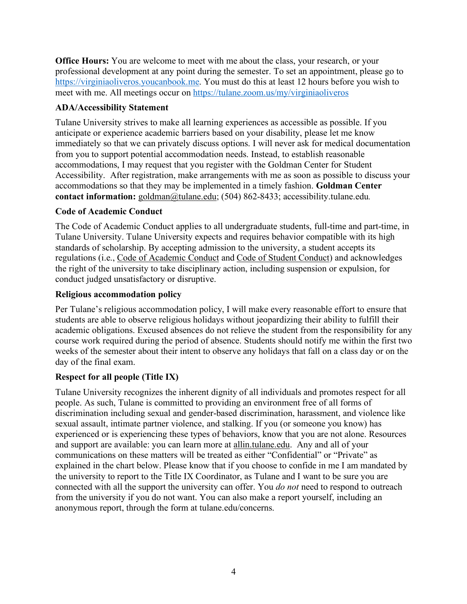**Office Hours:** You are welcome to meet with me about the class, your research, or your professional development at any point during the semester. To set an appointment, please go to https://virginiaoliveros.youcanbook.me. You must do this at least 12 hours before you wish to meet with me. All meetings occur on https://tulane.zoom.us/my/virginiaoliveros

# **ADA/Accessibility Statement**

Tulane University strives to make all learning experiences as accessible as possible. If you anticipate or experience academic barriers based on your disability, please let me know immediately so that we can privately discuss options. I will never ask for medical documentation from you to support potential accommodation needs. Instead, to establish reasonable accommodations, I may request that you register with the Goldman Center for Student Accessibility. After registration, make arrangements with me as soon as possible to discuss your accommodations so that they may be implemented in a timely fashion. **Goldman Center contact information:** goldman@tulane.edu; (504) 862-8433; accessibility.tulane.edu*.*

# **Code of Academic Conduct**

The Code of Academic Conduct applies to all undergraduate students, full-time and part-time, in Tulane University. Tulane University expects and requires behavior compatible with its high standards of scholarship. By accepting admission to the university, a student accepts its regulations (i.e., Code of Academic Conduct and Code of Student Conduct) and acknowledges the right of the university to take disciplinary action, including suspension or expulsion, for conduct judged unsatisfactory or disruptive.

# **Religious accommodation policy**

Per Tulane's religious accommodation policy, I will make every reasonable effort to ensure that students are able to observe religious holidays without jeopardizing their ability to fulfill their academic obligations. Excused absences do not relieve the student from the responsibility for any course work required during the period of absence. Students should notify me within the first two weeks of the semester about their intent to observe any holidays that fall on a class day or on the day of the final exam.

# **Respect for all people (Title IX)**

Tulane University recognizes the inherent dignity of all individuals and promotes respect for all people. As such, Tulane is committed to providing an environment free of all forms of discrimination including sexual and gender-based discrimination, harassment, and violence like sexual assault, intimate partner violence, and stalking. If you (or someone you know) has experienced or is experiencing these types of behaviors, know that you are not alone. Resources and support are available: you can learn more at allin.tulane.edu. Any and all of your communications on these matters will be treated as either "Confidential" or "Private" as explained in the chart below. Please know that if you choose to confide in me I am mandated by the university to report to the Title IX Coordinator, as Tulane and I want to be sure you are connected with all the support the university can offer. You *do not* need to respond to outreach from the university if you do not want. You can also make a report yourself, including an anonymous report, through the form at tulane.edu/concerns.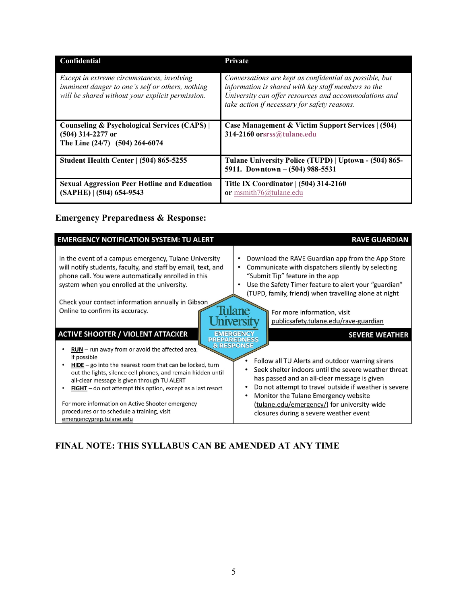| <b>Confidential</b>                                                                                                                                | <b>Private</b>                                                                                                                                                                                                          |
|----------------------------------------------------------------------------------------------------------------------------------------------------|-------------------------------------------------------------------------------------------------------------------------------------------------------------------------------------------------------------------------|
| Except in extreme circumstances, involving<br>imminent danger to one's self or others, nothing<br>will be shared without your explicit permission. | Conversations are kept as confidential as possible, but<br>information is shared with key staff members so the<br>University can offer resources and accommodations and<br>take action if necessary for safety reasons. |
| <b>Counseling &amp; Psychological Services (CAPS)</b><br>$(504)$ 314-2277 or<br>The Line $(24/7)$ $(504)$ 264-6074                                 | Case Management & Victim Support Services   (504)<br>314-2160 orsrss@tulane.edu                                                                                                                                         |
| <b>Student Health Center   (504) 865-5255</b>                                                                                                      | Tulane University Police (TUPD)   Uptown - (504) 865-<br>5911. Downtown - (504) 988-5531                                                                                                                                |
| <b>Sexual Aggression Peer Hotline and Education</b><br>$(SAPHE)$   $(504)$ 654-9543                                                                | Title IX Coordinator   (504) 314-2160<br>or msmith76@tulane.edu                                                                                                                                                         |

# **Emergency Preparedness & Response:**

| <b>EMERGENCY NOTIFICATION SYSTEM: TU ALERT</b>                                                                                                                                                                                                                                                                                                                                                                                                                                                                                                                                                                                                                                                                                             | <b>RAVE GUARDIAN</b>                                                                                                                                                                                                                                                                                                                                                                                                                                                                                                                                                                                                                                                                                                                                                                      |
|--------------------------------------------------------------------------------------------------------------------------------------------------------------------------------------------------------------------------------------------------------------------------------------------------------------------------------------------------------------------------------------------------------------------------------------------------------------------------------------------------------------------------------------------------------------------------------------------------------------------------------------------------------------------------------------------------------------------------------------------|-------------------------------------------------------------------------------------------------------------------------------------------------------------------------------------------------------------------------------------------------------------------------------------------------------------------------------------------------------------------------------------------------------------------------------------------------------------------------------------------------------------------------------------------------------------------------------------------------------------------------------------------------------------------------------------------------------------------------------------------------------------------------------------------|
| In the event of a campus emergency, Tulane University<br>will notify students, faculty, and staff by email, text, and<br>phone call. You were automatically enrolled in this<br>system when you enrolled at the university.<br>Check your contact information annually in Gibson<br>Online to confirm its accuracy.<br><b>ACTIVE SHOOTER / VIOLENT ATTACKER</b><br>$RUN - run$ away from or avoid the affected area,<br>if possible<br><b>HIDE</b> – go into the nearest room that can be locked, turn<br>out the lights, silence cell phones, and remain hidden until<br>all-clear message is given through TU ALERT<br>$FIGHT -$ do not attempt this option, except as a last resort<br>For more information on Active Shooter emergency | Download the RAVE Guardian app from the App Store<br>٠<br>Communicate with dispatchers silently by selecting<br>٠<br>"Submit Tip" feature in the app<br>Use the Safety Timer feature to alert your "guardian"<br>(TUPD, family, friend) when travelling alone at night<br><i>i</i> lane<br>For more information, visit<br>publicsafety.tulane.edu/rave-guardian<br><b>hyersit</b><br><b>EMERGENCY</b><br><b>SEVERE WEATHER</b><br><b>PREPAREDNESS</b><br><b>&amp; RESPONSE</b><br>Follow all TU Alerts and outdoor warning sirens<br>Seek shelter indoors until the severe weather threat<br>has passed and an all-clear message is given<br>Do not attempt to travel outside if weather is severe<br>Monitor the Tulane Emergency website<br>(tulane.edu/emergency/) for university-wide |
| procedures or to schedule a training, visit<br>emergencyprep.tulane.edu                                                                                                                                                                                                                                                                                                                                                                                                                                                                                                                                                                                                                                                                    | closures during a severe weather event                                                                                                                                                                                                                                                                                                                                                                                                                                                                                                                                                                                                                                                                                                                                                    |

# **FINAL NOTE: THIS SYLLABUS CAN BE AMENDED AT ANY TIME**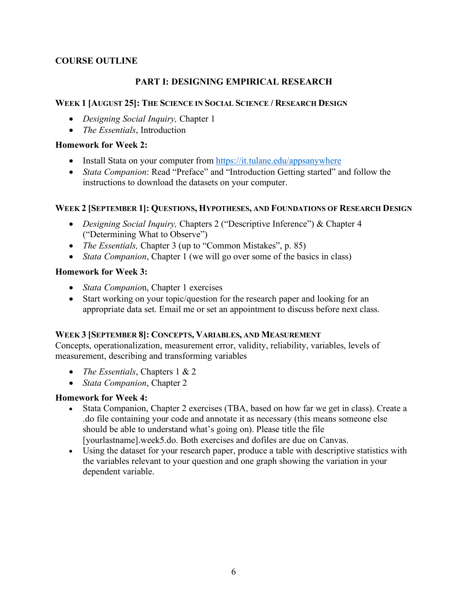# **COURSE OUTLINE**

# **PART I: DESIGNING EMPIRICAL RESEARCH**

### **WEEK 1 [AUGUST 25]: THE SCIENCE IN SOCIAL SCIENCE / RESEARCH DESIGN**

- *Designing Social Inquiry,* Chapter 1
- *The Essentials*, Introduction

#### **Homework for Week 2:**

- Install Stata on your computer from https://it.tulane.edu/appsanywhere
- *Stata Companion*: Read "Preface" and "Introduction Getting started" and follow the instructions to download the datasets on your computer.

#### **WEEK 2 [SEPTEMBER 1]: QUESTIONS, HYPOTHESES, AND FOUNDATIONS OF RESEARCH DESIGN**

- *Designing Social Inquiry,* Chapters 2 ("Descriptive Inference") & Chapter 4 ("Determining What to Observe")
- *The Essentials,* Chapter 3 (up to "Common Mistakes", p. 85)
- *Stata Companion*, Chapter 1 (we will go over some of the basics in class)

#### **Homework for Week 3:**

- *Stata Companio*n, Chapter 1 exercises
- Start working on your topic/question for the research paper and looking for an appropriate data set. Email me or set an appointment to discuss before next class.

#### **WEEK 3 [SEPTEMBER 8]: CONCEPTS, VARIABLES, AND MEASUREMENT**

Concepts, operationalization, measurement error, validity, reliability, variables, levels of measurement, describing and transforming variables

- *The Essentials*, Chapters 1 & 2
- *Stata Companion*, Chapter 2

#### **Homework for Week 4:**

- Stata Companion, Chapter 2 exercises (TBA, based on how far we get in class). Create a .do file containing your code and annotate it as necessary (this means someone else should be able to understand what's going on). Please title the file [yourlastname].week5.do. Both exercises and dofiles are due on Canvas.
- Using the dataset for your research paper, produce a table with descriptive statistics with the variables relevant to your question and one graph showing the variation in your dependent variable.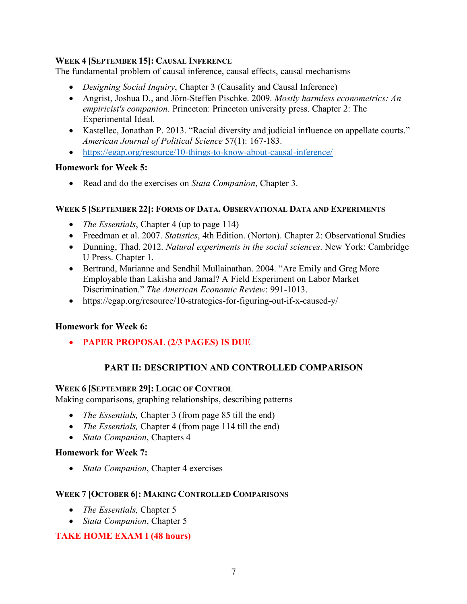# **WEEK 4 [SEPTEMBER 15]: CAUSAL INFERENCE**

The fundamental problem of causal inference, causal effects, causal mechanisms

- *Designing Social Inquiry*, Chapter 3 (Causality and Causal Inference)
- Angrist, Joshua D., and Jörn-Steffen Pischke. 2009. *Mostly harmless econometrics: An empiricist's companion*. Princeton: Princeton university press. Chapter 2: The Experimental Ideal.
- Kastellec, Jonathan P. 2013. "Racial diversity and judicial influence on appellate courts." *American Journal of Political Science* 57(1): 167-183.
- https://egap.org/resource/10-things-to-know-about-causal-inference/

#### **Homework for Week 5:**

• Read and do the exercises on *Stata Companion*, Chapter 3.

#### **WEEK 5 [SEPTEMBER 22]: FORMS OF DATA. OBSERVATIONAL DATA AND EXPERIMENTS**

- *The Essentials*, Chapter 4 (up to page 114)
- Freedman et al. 2007. *Statistics*, 4th Edition. (Norton). Chapter 2: Observational Studies
- Dunning, Thad. 2012. *Natural experiments in the social sciences*. New York: Cambridge U Press. Chapter 1.
- Bertrand, Marianne and Sendhil Mullainathan. 2004. "Are Emily and Greg More Employable than Lakisha and Jamal? A Field Experiment on Labor Market Discrimination." *The American Economic Review*: 991-1013.
- https://egap.org/resource/10-strategies-for-figuring-out-if-x-caused-y/

# **Homework for Week 6:**

• **PAPER PROPOSAL (2/3 PAGES) IS DUE** 

# **PART II: DESCRIPTION AND CONTROLLED COMPARISON**

# **WEEK 6 [SEPTEMBER 29]: LOGIC OF CONTROL**

Making comparisons, graphing relationships, describing patterns

- *The Essentials,* Chapter 3 (from page 85 till the end)
- *The Essentials,* Chapter 4 (from page 114 till the end)
- *Stata Companion*, Chapters 4

# **Homework for Week 7:**

• *Stata Companion*, Chapter 4 exercises

#### **WEEK 7 [OCTOBER 6]: MAKING CONTROLLED COMPARISONS**

- *The Essentials,* Chapter 5
- *Stata Companion*, Chapter 5

# **TAKE HOME EXAM I (48 hours)**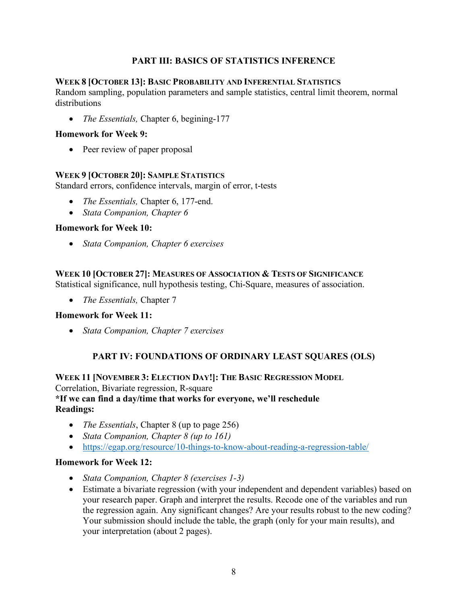# **PART III: BASICS OF STATISTICS INFERENCE**

#### **WEEK 8 [OCTOBER 13]: BASIC PROBABILITY AND INFERENTIAL STATISTICS**

Random sampling, population parameters and sample statistics, central limit theorem, normal distributions

• *The Essentials,* Chapter 6, begining-177

#### **Homework for Week 9:**

• Peer review of paper proposal

#### **WEEK 9 [OCTOBER 20]: SAMPLE STATISTICS**

Standard errors, confidence intervals, margin of error, t-tests

- *The Essentials,* Chapter 6, 177-end.
- *Stata Companion, Chapter 6*

#### **Homework for Week 10:**

• *Stata Companion, Chapter 6 exercises*

# **WEEK 10 [OCTOBER 27]: MEASURES OF ASSOCIATION & TESTS OF SIGNIFICANCE**

Statistical significance, null hypothesis testing, Chi-Square, measures of association.

• *The Essentials,* Chapter 7

# **Homework for Week 11:**

• *Stata Companion, Chapter 7 exercises*

# **PART IV: FOUNDATIONS OF ORDINARY LEAST SQUARES (OLS)**

**WEEK 11 [NOVEMBER 3: ELECTION DAY!]: THE BASIC REGRESSION MODEL** Correlation, Bivariate regression, R-square **\*If we can find a day/time that works for everyone, we'll reschedule Readings:**

- *The Essentials*, Chapter 8 (up to page 256)
- *Stata Companion, Chapter 8 (up to 161)*
- https://egap.org/resource/10-things-to-know-about-reading-a-regression-table/

#### **Homework for Week 12:**

- *Stata Companion, Chapter 8 (exercises 1-3)*
- Estimate a bivariate regression (with your independent and dependent variables) based on your research paper. Graph and interpret the results. Recode one of the variables and run the regression again. Any significant changes? Are your results robust to the new coding? Your submission should include the table, the graph (only for your main results), and your interpretation (about 2 pages).